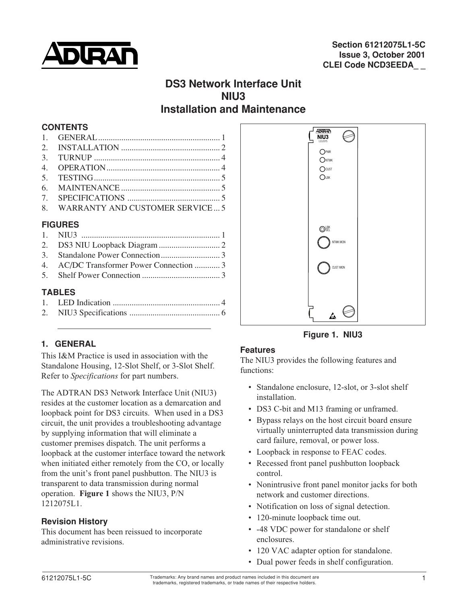

# **DS3 Network Interface Unit NIU3 Installation and Maintenance**

#### **CONTENTS**

|                | 8. WARRANTY AND CUSTOMER SERVICE 5 |  |  |
|----------------|------------------------------------|--|--|
| <b>FIGURES</b> |                                    |  |  |

## **FIGURES**

|               | 4. AC/DC Transformer Power Connection  3 |  |  |  |
|---------------|------------------------------------------|--|--|--|
|               |                                          |  |  |  |
| <b>TABLES</b> |                                          |  |  |  |
|               |                                          |  |  |  |

# **1. GENERAL**

This I&M Practice is used in association with the Standalone Housing, 12-Slot Shelf, or 3-Slot Shelf. Refer to *Specifications* for part numbers.

The ADTRAN DS3 Network Interface Unit (NIU3) resides at the customer location as a demarcation and loopback point for DS3 circuits. When used in a DS3 circuit, the unit provides a troubleshooting advantage by supplying information that will eliminate a customer premises dispatch. The unit performs a loopback at the customer interface toward the network when initiated either remotely from the CO, or locally from the unit's front panel pushbutton. The NIU3 is transparent to data transmission during normal operation. **Figure 1** shows the NIU3, P/N 1212075L1.

# **Revision History**

This document has been reissued to incorporate administrative revisions.



**Figure 1. NIU3**

# **Features**

The NIU3 provides the following features and functions:

- Standalone enclosure, 12-slot, or 3-slot shelf installation.
- DS3 C-bit and M13 framing or unframed.
- Bypass relays on the host circuit board ensure virtually uninterrupted data transmission during card failure, removal, or power loss.
- Loopback in response to FEAC codes.
- Recessed front panel pushbutton loopback control.
- Nonintrusive front panel monitor jacks for both network and customer directions.
- Notification on loss of signal detection.
- 120-minute loopback time out.
- -48 VDC power for standalone or shelf enclosures.
- 120 VAC adapter option for standalone.
- Dual power feeds in shelf configuration.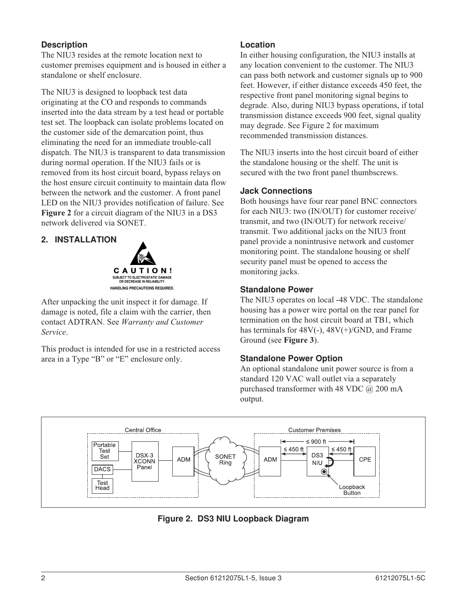## **Description**

The NIU3 resides at the remote location next to customer premises equipment and is housed in either a standalone or shelf enclosure.

The NIU3 is designed to loopback test data originating at the CO and responds to commands inserted into the data stream by a test head or portable test set. The loopback can isolate problems located on the customer side of the demarcation point, thus eliminating the need for an immediate trouble-call dispatch. The NIU3 is transparent to data transmission during normal operation. If the NIU3 fails or is removed from its host circuit board, bypass relays on the host ensure circuit continuity to maintain data flow between the network and the customer. A front panel LED on the NIU3 provides notification of failure. See **Figure 2** for a circuit diagram of the NIU3 in a DS3 network delivered via SONET.

## **2. INSTALLATION**



After unpacking the unit inspect it for damage. If damage is noted, file a claim with the carrier, then contact ADTRAN. See *Warranty and Customer Service*.

This product is intended for use in a restricted access area in a Type "B" or "E" enclosure only.

#### **Location**

In either housing configuration, the NIU3 installs at any location convenient to the customer. The NIU3 can pass both network and customer signals up to 900 feet. However, if either distance exceeds 450 feet, the respective front panel monitoring signal begins to degrade. Also, during NIU3 bypass operations, if total transmission distance exceeds 900 feet, signal quality may degrade. See Figure 2 for maximum recommended transmission distances.

The NIU3 inserts into the host circuit board of either the standalone housing or the shelf. The unit is secured with the two front panel thumbscrews.

#### **Jack Connections**

Both housings have four rear panel BNC connectors for each NIU3: two (IN/OUT) for customer receive/ transmit, and two (IN/OUT) for network receive/ transmit. Two additional jacks on the NIU3 front panel provide a nonintrusive network and customer monitoring point. The standalone housing or shelf security panel must be opened to access the monitoring jacks.

#### **Standalone Power**

The NIU3 operates on local -48 VDC. The standalone housing has a power wire portal on the rear panel for termination on the host circuit board at TB1, which has terminals for  $48V(-)$ ,  $48V(+)/GND$ , and Frame Ground (see **Figure 3**).

#### **Standalone Power Option**

An optional standalone unit power source is from a standard 120 VAC wall outlet via a separately purchased transformer with 48 VDC  $\omega$  200 mA output.



**Figure 2. DS3 NIU Loopback Diagram**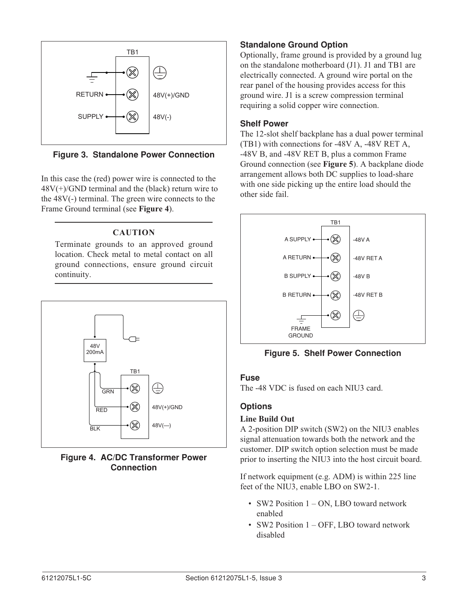

**Figure 3. Standalone Power Connection**

In this case the (red) power wire is connected to the  $48V(+)/GND$  terminal and the (black) return wire to the 48V(-) terminal. The green wire connects to the Frame Ground terminal (see **Figure 4**).

# **CAUTION**

Terminate grounds to an approved ground location. Check metal to metal contact on all ground connections, ensure ground circuit continuity.



**Figure 4. AC/DC Transformer Power Connection**

# **Standalone Ground Option**

Optionally, frame ground is provided by a ground lug on the standalone motherboard (J1). J1 and TB1 are electrically connected. A ground wire portal on the rear panel of the housing provides access for this ground wire. J1 is a screw compression terminal requiring a solid copper wire connection.

## **Shelf Power**

The 12-slot shelf backplane has a dual power terminal (TB1) with connections for -48V A, -48V RET A, -48V B, and -48V RET B, plus a common Frame Ground connection (see **Figure 5**). A backplane diode arrangement allows both DC supplies to load-share with one side picking up the entire load should the other side fail.



**Figure 5. Shelf Power Connection**

# **Fuse**

The -48 VDC is fused on each NIU3 card.

# **Options**

# **Line Build Out**

A 2-position DIP switch (SW2) on the NIU3 enables signal attenuation towards both the network and the customer. DIP switch option selection must be made prior to inserting the NIU3 into the host circuit board.

If network equipment (e.g. ADM) is within 225 line feet of the NIU3, enable LBO on SW2-1.

- SW2 Position 1 ON, LBO toward network enabled
- SW2 Position 1 OFF, LBO toward network disabled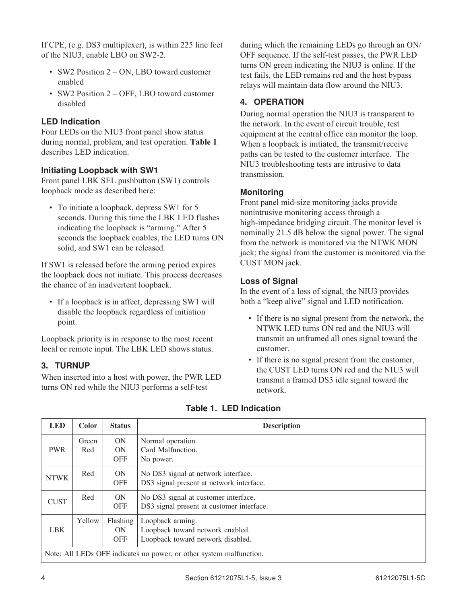If CPE, (e.g. DS3 multiplexer), is within 225 line feet of the NIU3, enable LBO on SW2-2.

- SW2 Position 2 ON, LBO toward customer enabled
- SW2 Position 2 OFF, LBO toward customer disabled

## **LED Indication**

Four LEDs on the NIU3 front panel show status during normal, problem, and test operation. **Table 1** describes LED indication.

#### **Initiating Loopback with SW1**

Front panel LBK SEL pushbutton (SW1) controls loopback mode as described here:

• To initiate a loopback, depress SW1 for 5 seconds. During this time the LBK LED flashes indicating the loopback is "arming." After 5 seconds the loopback enables, the LED turns ON solid, and SW1 can be released.

If SW1 is released before the arming period expires the loopback does not initiate. This process decreases the chance of an inadvertent loopback.

• If a loopback is in affect, depressing SW1 will disable the loopback regardless of initiation point.

Loopback priority is in response to the most recent local or remote input. The LBK LED shows status.

#### **3. TURNUP**

When inserted into a host with power, the PWR LED turns ON red while the NIU3 performs a self-test

during which the remaining LEDs go through an ON/ OFF sequence. If the self-test passes, the PWR LED turns ON green indicating the NIU3 is online. If the test fails, the LED remains red and the host bypass relays will maintain data flow around the NIU3.

## **4. OPERATION**

During normal operation the NIU3 is transparent to the network. In the event of circuit trouble, test equipment at the central office can monitor the loop. When a loopback is initiated, the transmit/receive paths can be tested to the customer interface. The NIU3 troubleshooting tests are intrusive to data transmission.

#### **Monitoring**

Front panel mid-size monitoring jacks provide nonintrusive monitoring access through a high-impedance bridging circuit. The monitor level is nominally 21.5 dB below the signal power. The signal from the network is monitored via the NTWK MON jack; the signal from the customer is monitored via the CUST MON jack.

#### **Loss of Signal**

In the event of a loss of signal, the NIU3 provides both a "keep alive" signal and LED notification.

- If there is no signal present from the network, the NTWK LED turns ON red and the NIU3 will transmit an unframed all ones signal toward the customer.
- If there is no signal present from the customer, the CUST LED turns ON red and the NIU3 will transmit a framed DS3 idle signal toward the network.

| <b>LED</b>                                                          | Color        | <b>Status</b>                 | <b>Description</b>                                                                        |  |  |
|---------------------------------------------------------------------|--------------|-------------------------------|-------------------------------------------------------------------------------------------|--|--|
| <b>PWR</b>                                                          | Green<br>Red | ON<br><b>ON</b><br><b>OFF</b> | Normal operation.<br>Card Malfunction.<br>No power.                                       |  |  |
| <b>NTWK</b>                                                         | Red          | <b>ON</b><br><b>OFF</b>       | No DS3 signal at network interface.<br>DS3 signal present at network interface.           |  |  |
| <b>CUST</b>                                                         | Red          | ON<br><b>OFF</b>              | No DS3 signal at customer interface.<br>DS3 signal present at customer interface.         |  |  |
| <b>LBK</b>                                                          | Yellow       | Flashing<br>ON<br><b>OFF</b>  | Loopback arming.<br>Loopback toward network enabled.<br>Loopback toward network disabled. |  |  |
| Note: All LEDs OFF indicates no power, or other system malfunction. |              |                               |                                                                                           |  |  |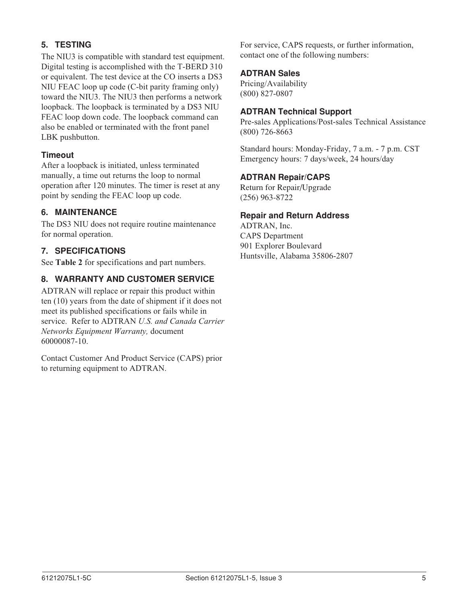# **5. TESTING**

The NIU3 is compatible with standard test equipment. Digital testing is accomplished with the T-BERD 310 or equivalent. The test device at the CO inserts a DS3 NIU FEAC loop up code (C-bit parity framing only) toward the NIU3. The NIU3 then performs a network loopback. The loopback is terminated by a DS3 NIU FEAC loop down code. The loopback command can also be enabled or terminated with the front panel LBK pushbutton.

## **Timeout**

After a loopback is initiated, unless terminated manually, a time out returns the loop to normal operation after 120 minutes. The timer is reset at any point by sending the FEAC loop up code.

# **6. MAINTENANCE**

The DS3 NIU does not require routine maintenance for normal operation.

## **7. SPECIFICATIONS**

See **Table 2** for specifications and part numbers.

# **8. WARRANTY AND CUSTOMER SERVICE**

ADTRAN will replace or repair this product within ten (10) years from the date of shipment if it does not meet its published specifications or fails while in service. Refer to ADTRAN *U.S. and Canada Carrier Networks Equipment Warranty,* document 60000087-10.

Contact Customer And Product Service (CAPS) prior to returning equipment to ADTRAN.

For service, CAPS requests, or further information, contact one of the following numbers:

#### **ADTRAN Sales**

Pricing/Availability (800) 827-0807

#### **ADTRAN Technical Support**

Pre-sales Applications/Post-sales Technical Assistance (800) 726-8663

Standard hours: Monday-Friday, 7 a.m. - 7 p.m. CST Emergency hours: 7 days/week, 24 hours/day

#### **ADTRAN Repair/CAPS**

Return for Repair/Upgrade (256) 963-8722

#### **Repair and Return Address**

ADTRAN, Inc. CAPS Department 901 Explorer Boulevard Huntsville, Alabama 35806-2807